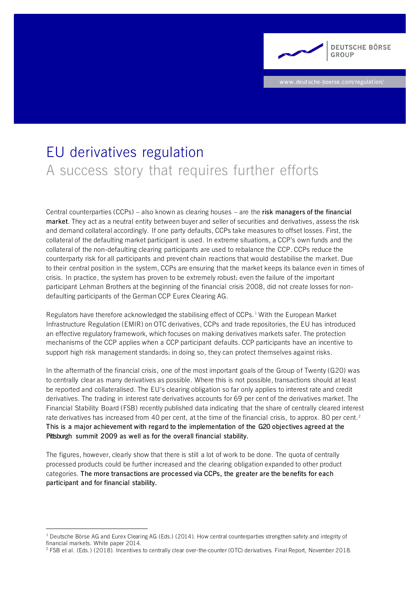

**www.deutsche-boerse.com/regulation/**

# EU derivatives regulation A success story that requires further efforts

Central counterparties (CCPs) – also known as clearing houses – are the **risk managers of the financial market**. They act as a neutral entity between buyer and seller of securities and derivatives, assess the risk and demand collateral accordingly. If one party defaults, CCPs take measures to offset losses. First, the collateral of the defaulting market participant is used. In extreme situations, a CCP's own funds and the collateral of the non-defaulting clearing participants are used to rebalance the CCP. CCPs reduce the counterparty risk for all participants and prevent chain reactions that would destabilise the market. Due to their central position in the system, CCPs are ensuring that the market keeps its balance even in times of crisis. In practice, the system has proven to be extremely robust: even the failure of the important participant Lehman Brothers at the beginning of the financial crisis 2008, did not create losses for nondefaulting participants of the German CCP Eurex Clearing AG.

Regulators have therefore acknowledged the stabilising effect of CCPs.<sup>1</sup> With the European Market Infrastructure Regulation (EMIR) on OTC derivatives, CCPs and trade repositories, the EU has introduced an effective regulatory framework, which focuses on making derivatives markets safer. The protection mechanisms of the CCP applies when a CCP participant defaults. CCP participants have an incentive to support high risk management standards: in doing so, they can protect themselves against risks.

In the aftermath of the financial crisis, one of the most important goals of the Group of Twenty (G20) was to centrally clear as many derivatives as possible. Where this is not possible, transactions should at least be reported and collateralised. The EU's clearing obligation so far only applies to interest rate and credit derivatives. The trading in interest rate derivatives accounts for 69 per cent of the derivatives market. The Financial Stability Board (FSB) recently published data indicating that the share of centrally cleared interest rate derivatives has increased from 40 per cent, at the time of the financial crisis, to approx. 80 per cent.<sup>2</sup> **This is a major achievement with regard to the implementation of the G20 objectives agreed at the Pittsburgh summit 2009 as well as for the overall financial stability.**

The figures, however, clearly show that there is still a lot of work to be done. The quota of centrally processed products could be further increased and the clearing obligation expanded to other product categories. **The more transactions are processed via CCPs, the greater are the benefits for each participant and for financial stability.**

 $1$  [Deutsche Börse AG and Eurex Clearing AG \(Eds.\) \(2014](http://www.eurexclearing.com/blob/997338/37fbffb2a577d8e43d52d19223b49c63/data/white_paper_how_ccps_strengthen_safety_and_integrity_of_fin_markets.pdf)). How central counterparties strengthen safety and integrity of financial markets. White paper 2014.

<sup>&</sup>lt;sup>2</sup> [FSB et al. \(Eds.\)](http://www.fsb.org/wp-content/uploads/R191118-1-1.pdf) (2018). Incentives to centrally clear over-the-counter (OTC) derivatives. Final Report, November 2018.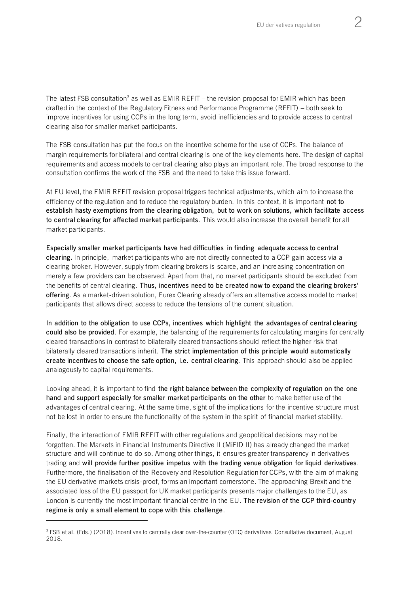The latest FSB consultation<sup>3</sup> as well as  $EMIR$  REFIT – the revision proposal for EMIR which has been drafted in the context of the Regulatory Fitness and Performance Programme (REFIT) – both seek to improve incentives for using CCPs in the long term, avoid inefficiencies and to provide access to central clearing also for smaller market participants.

The FSB consultation has put the focus on the incentive scheme for the use of CCPs. The balance of margin requirements for bilateral and central clearing is one of the key elements here. The design of capital requirements and access models to central clearing also plays an important role. The broad response to the consultation confirms the work of the FSB and the need to take this issue forward.

At EU level, the EMIR REFIT revision proposal triggers technical adjustments, which aim to increase the efficiency of the regulation and to reduce the regulatory burden. In this context, it is important **not to establish hasty exemptions from the clearing obligation, but to work on solutions, which facilitate access to central clearing for affected market participants**. This would also increase the overall benefit for all market participants.

**Especially smaller market participants have had difficulties in finding adequate access to central clearing.** In principle, market participants who are not directly connected to a CCP gain access via a clearing broker. However, supply from clearing brokers is scarce, and an increasing concentration on merely a few providers can be observed. Apart from that, no market participants should be excluded from the benefits of central clearing. **Thus, incentives need to be created now to expand the clearing brokers' offering**. As a market-driven solution, Eurex Clearing already offers an alternative access model to market participants that allows direct access to reduce the tensions of the current situation.

**In addition to the obligation to use CCPs, incentives which highlight the advantages of central clearing could also be provided**. For example, the balancing of the requirements for calculating margins for centrally cleared transactions in contrast to bilaterally cleared transactions should reflect the higher risk that bilaterally cleared transactions inherit. **The strict implementation of this principle would automatically create incentives to choose the safe option, i.e. central clearing**. This approach should also be applied analogously to capital requirements.

Looking ahead, it is important to find **the right balance between the complexity of regulation on the one hand and support especially for smaller market participants on the other** to make better use of the advantages of central clearing. At the same time, sight of the implications for the incentive structure must not be lost in order to ensure the functionality of the system in the spirit of financial market stability.

Finally, the interaction of EMIR REFIT with other regulations and geopolitical decisions may not be forgotten. The Markets in Financial Instruments Directive II (MiFID II) has already changed the market structure and will continue to do so. Among other things, it ensures greater transparency in derivatives trading and **will provide further positive impetus with the trading venue obligation for liquid derivatives**. Furthermore, the finalisation of the Recovery and Resolution Regulation for CCPs, with the aim of making the EU derivative markets crisis-proof, forms an important cornerstone. The approaching Brexit and the associated loss of the EU passport for UK market participants presents major challenges to the EU, as London is currently the most important financial centre in the EU. **The revision of the CCP third-country regime is only a small element to cope with this challenge**.

<sup>&</sup>lt;sup>3</sup> [FSB et al. \(Eds.\) \(2018\)](http://www.fsb.org/wp-content/uploads/P070818.pdf). Incentives to centrally clear over-the-counter (OTC) derivatives. Consultative document, August 2018.